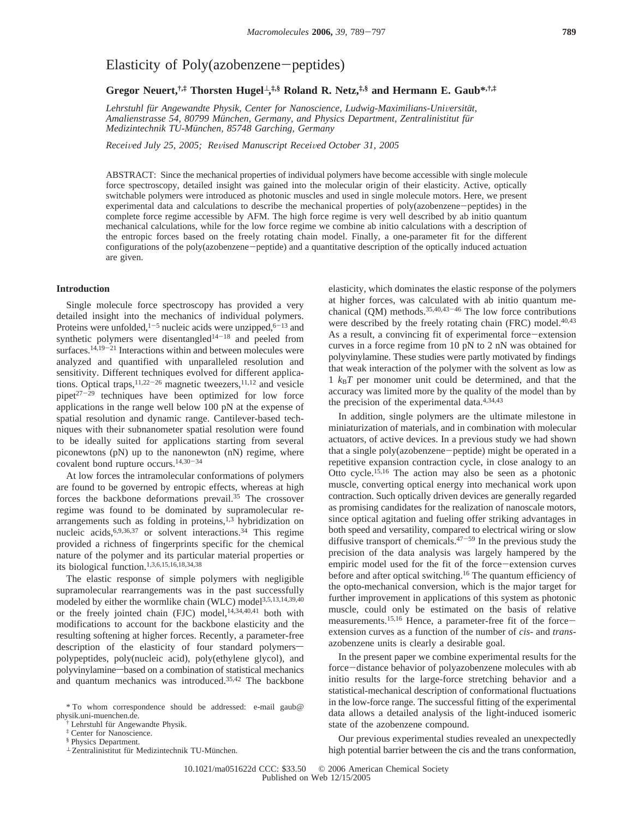# Elasticity of Poly(azobenzene-peptides)

**Gregor Neuert,†,‡ Thorsten Hugel**<sup>⊥</sup>**, ‡,§ Roland R. Netz,‡,§ and Hermann E. Gaub\*,†,‡**

Lehrstuhl für Angewandte Physik, Center for Nanoscience, Ludwig-Maximilians-Universität, *Amalienstrasse 54, 80799 Mu¨nchen, Germany, and Physics Department, Zentralinistitut fu¨r Medizintechnik TU-Mu¨nchen, 85748 Garching, Germany*

*Recei*V*ed July 25, 2005; Re*V*ised Manuscript Recei*V*ed October 31, 2005*

ABSTRACT: Since the mechanical properties of individual polymers have become accessible with single molecule force spectroscopy, detailed insight was gained into the molecular origin of their elasticity. Active, optically switchable polymers were introduced as photonic muscles and used in single molecule motors. Here, we present experimental data and calculations to describe the mechanical properties of poly(azobenzene-peptides) in the complete force regime accessible by AFM. The high force regime is very well described by ab initio quantum mechanical calculations, while for the low force regime we combine ab initio calculations with a description of the entropic forces based on the freely rotating chain model. Finally, a one-parameter fit for the different configurations of the poly(azobenzene-peptide) and a quantitative description of the optically induced actuation are given.

## **Introduction**

Single molecule force spectroscopy has provided a very detailed insight into the mechanics of individual polymers. Proteins were unfolded, $1-5$  nucleic acids were unzipped, $6-13$  and synthetic polymers were disentangled<sup>14-18</sup> and peeled from surfaces.<sup>14,19-21</sup> Interactions within and between molecules were analyzed and quantified with unparalleled resolution and sensitivity. Different techniques evolved for different applications. Optical traps,  $11,22-26$  magnetic tweezers,  $11,12$  and vesicle pipet<sup>27-29</sup> techniques have been optimized for low force applications in the range well below 100 pN at the expense of spatial resolution and dynamic range. Cantilever-based techniques with their subnanometer spatial resolution were found to be ideally suited for applications starting from several piconewtons (pN) up to the nanonewton (nN) regime, where covalent bond rupture occurs.14,30-<sup>34</sup>

At low forces the intramolecular conformations of polymers are found to be governed by entropic effects, whereas at high forces the backbone deformations prevail.35 The crossover regime was found to be dominated by supramolecular rearrangements such as folding in proteins, $1,3$  hybridization on nucleic acids,  $6,9,36,37$  or solvent interactions. <sup>34</sup> This regime provided a richness of fingerprints specific for the chemical nature of the polymer and its particular material properties or its biological function.1,3,6,15,16,18,34,38

The elastic response of simple polymers with negligible supramolecular rearrangements was in the past successfully modeled by either the wormlike chain (WLC) model<sup>3,5,13,14,39,40</sup> or the freely jointed chain (FJC) model,<sup>14,34,40,41</sup> both with modifications to account for the backbone elasticity and the resulting softening at higher forces. Recently, a parameter-free description of the elasticity of four standard polymerspolypeptides, poly(nucleic acid), poly(ethylene glycol), and polyvinylamine—based on a combination of statistical mechanics and quantum mechanics was introduced.35,42 The backbone

elasticity, which dominates the elastic response of the polymers at higher forces, was calculated with ab initio quantum mechanical  $(QM)$  methods.<sup>35,40,43-46</sup> The low force contributions were described by the freely rotating chain (FRC) model.<sup>40,43</sup> As a result, a convincing fit of experimental force-extension curves in a force regime from 10 pN to 2 nN was obtained for polyvinylamine. These studies were partly motivated by findings that weak interaction of the polymer with the solvent as low as  $1$   $k_B T$  per monomer unit could be determined, and that the accuracy was limited more by the quality of the model than by the precision of the experimental data.<sup>4,34,43</sup>

In addition, single polymers are the ultimate milestone in miniaturization of materials, and in combination with molecular actuators, of active devices. In a previous study we had shown that a single poly(azobenzene-peptide) might be operated in a repetitive expansion contraction cycle, in close analogy to an Otto cycle.15,16 The action may also be seen as a photonic muscle, converting optical energy into mechanical work upon contraction. Such optically driven devices are generally regarded as promising candidates for the realization of nanoscale motors, since optical agitation and fueling offer striking advantages in both speed and versatility, compared to electrical wiring or slow diffusive transport of chemicals. $47-59$  In the previous study the precision of the data analysis was largely hampered by the empiric model used for the fit of the force-extension curves before and after optical switching.<sup>16</sup> The quantum efficiency of the opto-mechanical conversion, which is the major target for further improvement in applications of this system as photonic muscle, could only be estimated on the basis of relative measurements.<sup>15,16</sup> Hence, a parameter-free fit of the forceextension curves as a function of the number of *cis*- and *trans*azobenzene units is clearly a desirable goal.

In the present paper we combine experimental results for the force-distance behavior of polyazobenzene molecules with ab initio results for the large-force stretching behavior and a statistical-mechanical description of conformational fluctuations in the low-force range. The successful fitting of the experimental data allows a detailed analysis of the light-induced isomeric state of the azobenzene compound.

Our previous experimental studies revealed an unexpectedly high potential barrier between the cis and the trans conformation,

<sup>\*</sup> To whom correspondence should be addressed: e-mail gaub@ physik.uni-muenchen.de.

Lehrstuhl für Angewandte Physik.

<sup>‡</sup> Center for Nanoscience.

<sup>§</sup> Physics Department.

 $^{\perp}$  Zentralinistitut für Medizintechnik TU-München.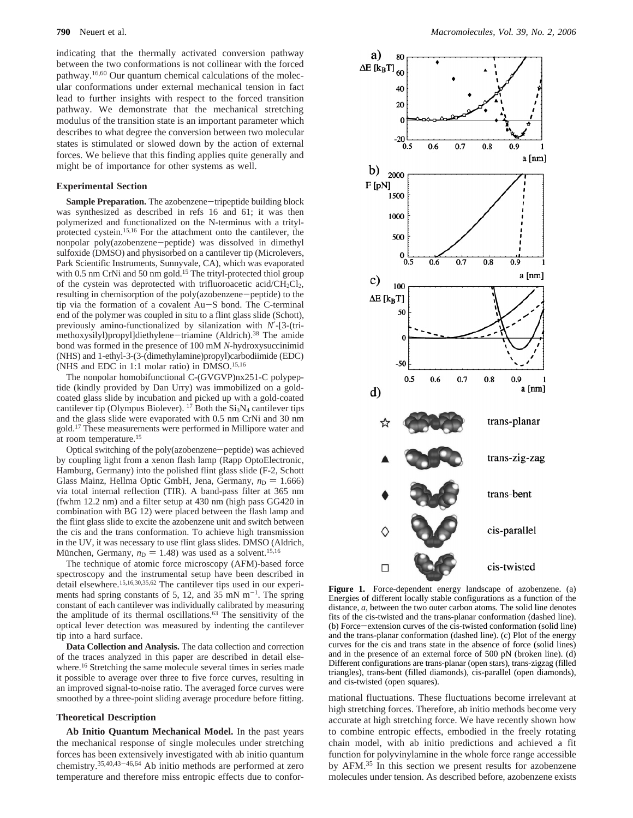indicating that the thermally activated conversion pathway between the two conformations is not collinear with the forced pathway.16,60 Our quantum chemical calculations of the molecular conformations under external mechanical tension in fact lead to further insights with respect to the forced transition pathway. We demonstrate that the mechanical stretching modulus of the transition state is an important parameter which describes to what degree the conversion between two molecular states is stimulated or slowed down by the action of external forces. We believe that this finding applies quite generally and might be of importance for other systems as well.

#### **Experimental Section**

**Sample Preparation.** The azobenzene-tripeptide building block was synthesized as described in refs 16 and 61; it was then polymerized and functionalized on the N-terminus with a tritylprotected cystein.15,16 For the attachment onto the cantilever, the nonpolar poly(azobenzene-peptide) was dissolved in dimethyl sulfoxide (DMSO) and physisorbed on a cantilever tip (Microlevers, Park Scientific Instruments, Sunnyvale, CA), which was evaporated with 0.5 nm CrNi and 50 nm gold.<sup>15</sup> The trityl-protected thiol group of the cystein was deprotected with trifluoroacetic acid/CH<sub>2</sub>Cl<sub>2</sub>, resulting in chemisorption of the poly(azobenzene-peptide) to the tip via the formation of a covalent Au-S bond. The C-terminal end of the polymer was coupled in situ to a flint glass slide (Schott), previously amino-functionalized by silanization with *N*′-[3-(trimethoxysilyl)propyl]diethylene-triamine (Aldrich).38 The amide bond was formed in the presence of 100 mM *N*-hydroxysuccinimid (NHS) and 1-ethyl-3-(3-(dimethylamine)propyl)carbodiimide (EDC) (NHS and EDC in 1:1 molar ratio) in DMSO.15,16

The nonpolar homobifunctional C-(GVGVP)nx251-C polypeptide (kindly provided by Dan Urry) was immobilized on a goldcoated glass slide by incubation and picked up with a gold-coated cantilever tip (Olympus Biolever). <sup>17</sup> Both the  $Si<sub>3</sub>N<sub>4</sub>$  cantilever tips and the glass slide were evaporated with 0.5 nm CrNi and 30 nm gold.17 These measurements were performed in Millipore water and at room temperature.15

Optical switching of the poly(azobenzene-peptide) was achieved by coupling light from a xenon flash lamp (Rapp OptoElectronic, Hamburg, Germany) into the polished flint glass slide (F-2, Schott Glass Mainz, Hellma Optic GmbH, Jena, Germany,  $n_D = 1.666$ ) via total internal reflection (TIR). A band-pass filter at 365 nm (fwhm 12.2 nm) and a filter setup at 430 nm (high pass GG420 in combination with BG 12) were placed between the flash lamp and the flint glass slide to excite the azobenzene unit and switch between the cis and the trans conformation. To achieve high transmission in the UV, it was necessary to use flint glass slides. DMSO (Aldrich, München, Germany,  $n_D = 1.48$ ) was used as a solvent.<sup>15,16</sup>

The technique of atomic force microscopy (AFM)-based force spectroscopy and the instrumental setup have been described in detail elsewhere.<sup>15,16,30,35,62</sup> The cantilever tips used in our experiments had spring constants of 5, 12, and 35 mN  $m^{-1}$ . The spring constant of each cantilever was individually calibrated by measuring the amplitude of its thermal oscillations.<sup>63</sup> The sensitivity of the optical lever detection was measured by indenting the cantilever tip into a hard surface.

**Data Collection and Analysis.** The data collection and correction of the traces analyzed in this paper are described in detail elsewhere.<sup>16</sup> Stretching the same molecule several times in series made it possible to average over three to five force curves, resulting in an improved signal-to-noise ratio. The averaged force curves were smoothed by a three-point sliding average procedure before fitting.

#### **Theoretical Description**

**Ab Initio Quantum Mechanical Model.** In the past years the mechanical response of single molecules under stretching forces has been extensively investigated with ab initio quantum chemistry.35,40,43-46,64 Ab initio methods are performed at zero temperature and therefore miss entropic effects due to confor-



**Figure 1.** Force-dependent energy landscape of azobenzene. (a) Energies of different locally stable configurations as a function of the distance, *a*, between the two outer carbon atoms. The solid line denotes fits of the cis-twisted and the trans-planar conformation (dashed line). (b) Force-extension curves of the cis-twisted conformation (solid line) and the trans-planar conformation (dashed line). (c) Plot of the energy curves for the cis and trans state in the absence of force (solid lines) and in the presence of an external force of 500 pN (broken line). (d) Different configurations are trans-planar (open stars), trans-zigzag (filled triangles), trans-bent (filled diamonds), cis-parallel (open diamonds), and cis-twisted (open squares).

mational fluctuations. These fluctuations become irrelevant at high stretching forces. Therefore, ab initio methods become very accurate at high stretching force. We have recently shown how to combine entropic effects, embodied in the freely rotating chain model, with ab initio predictions and achieved a fit function for polyvinylamine in the whole force range accessible by AFM.35 In this section we present results for azobenzene molecules under tension. As described before, azobenzene exists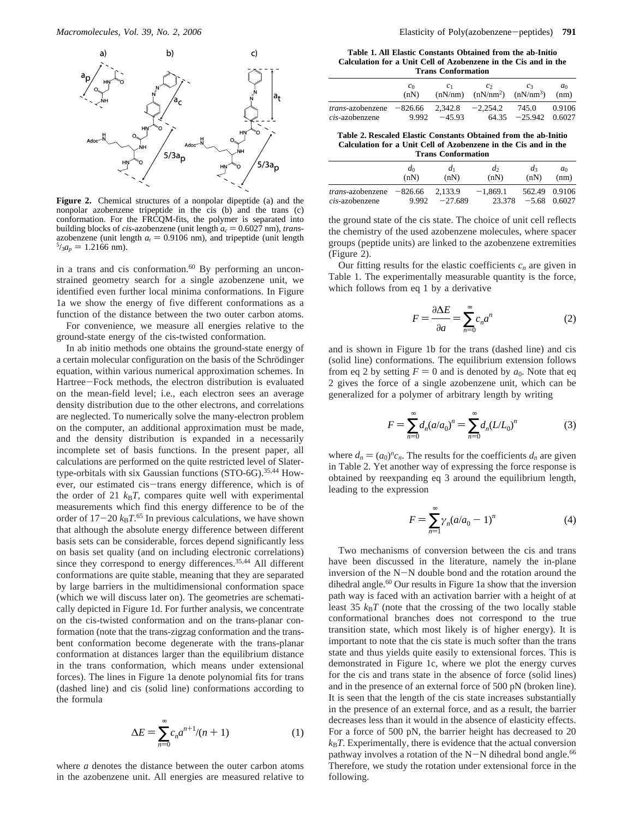

**Figure 2.** Chemical structures of a nonpolar dipeptide (a) and the nonpolar azobenzene tripeptide in the cis (b) and the trans (c) conformation. For the FRCQM-fits, the polymer is separated into<br>building blocks of *cis*-azobenzene (unit length  $a_c = 0.6027$  nm), *trans*building blocks of *cis*-azobenzene (unit length  $a_c = 0.6027$  nm), *trans*-<br>azobenzene (unit length  $a_c = 0.9106$  nm), and tripeptide (unit length azobenzene (unit length  $a_t = 0.9106$  nm), and tripeptide (unit length  $5/2a_r = 1.2166$  nm).  $\frac{5}{3}a_p = 1.2166$  nm).

in a trans and cis conformation. $60$  By performing an unconstrained geometry search for a single azobenzene unit, we identified even further local minima conformations. In Figure 1a we show the energy of five different conformations as a function of the distance between the two outer carbon atoms.

For convenience, we measure all energies relative to the ground-state energy of the cis-twisted conformation.

In ab initio methods one obtains the ground-state energy of a certain molecular configuration on the basis of the Schrödinger equation, within various numerical approximation schemes. In Hartree-Fock methods, the electron distribution is evaluated on the mean-field level; i.e., each electron sees an average density distribution due to the other electrons, and correlations are neglected. To numerically solve the many-electron problem on the computer, an additional approximation must be made, and the density distribution is expanded in a necessarily incomplete set of basis functions. In the present paper, all calculations are performed on the quite restricted level of Slatertype-orbitals with six Gaussian functions (STO-6G).<sup>35,44</sup> However, our estimated cis-trans energy difference, which is of the order of 21  $k_B T$ , compares quite well with experimental measurements which find this energy difference to be of the order of  $17-20$   $k_B T$ .<sup>65</sup> In previous calculations, we have shown<br>that although the absolute energy difference between different that although the absolute energy difference between different basis sets can be considerable, forces depend significantly less on basis set quality (and on including electronic correlations) since they correspond to energy differences.<sup>35,44</sup> All different conformations are quite stable, meaning that they are separated by large barriers in the multidimensional conformation space (which we will discuss later on). The geometries are schematically depicted in Figure 1d. For further analysis, we concentrate on the cis-twisted conformation and on the trans-planar conformation (note that the trans-zigzag conformation and the transbent conformation become degenerate with the trans-planar conformation at distances larger than the equilibrium distance in the trans conformation, which means under extensional forces). The lines in Figure 1a denote polynomial fits for trans (dashed line) and cis (solid line) conformations according to the formula

$$
\Delta E = \sum_{n=0}^{\infty} c_n a^{n+1} / (n+1)
$$
 (1)

where *a* denotes the distance between the outer carbon atoms in the azobenzene unit. All energies are measured relative to

**Table 1. All Elastic Constants Obtained from the ab-Initio Calculation for a Unit Cell of Azobenzene in the Cis and in the Trans Conformation**

|                                                      | $c_0$<br>(nN) | C <sub>1</sub> | $\mathcal{C}$<br>$(nN/nm)$ $(nN/nm^2)$ $(nN/nm^3)$ | c <sub>3</sub>                  | $a_0$<br>(nm) |
|------------------------------------------------------|---------------|----------------|----------------------------------------------------|---------------------------------|---------------|
| trans-azobenzene $-826.66$ 2,342.8<br>cis-azobenzene | 9.992         | $-45.93$       | $-2.254.2$                                         | 745.0<br>$64.35 -25.942 0.6027$ | 0.9106        |

**Table 2. Rescaled Elastic Constants Obtained from the ab-Initio Calculation for a Unit Cell of Azobenzene in the Cis and in the Trans Conformation**

|                                            | $d_0$                      | $d_1$     | $d_2$                | $d_3$ | $a_0$                           |
|--------------------------------------------|----------------------------|-----------|----------------------|-------|---------------------------------|
|                                            | (nN)                       | (nN)      | (nN)                 | (nN)  | (nm)                            |
| <i>trans</i> -azobenzene<br>cis-azobenzene | $-826.66$ 2.133.9<br>9.992 | $-27.689$ | $-1.869.1$<br>23.378 |       | 562.49 0.9106<br>$-5.68$ 0.6027 |

the ground state of the cis state. The choice of unit cell reflects the chemistry of the used azobenzene molecules, where spacer groups (peptide units) are linked to the azobenzene extremities (Figure 2).

Our fitting results for the elastic coefficients  $c_n$  are given in Table 1. The experimentally measurable quantity is the force, which follows from eq 1 by a derivative

$$
F = \frac{\partial \Delta E}{\partial a} = \sum_{n=0}^{\infty} c_n a^n
$$
 (2)

and is shown in Figure 1b for the trans (dashed line) and cis (solid line) conformations. The equilibrium extension follows from eq 2 by setting  $F = 0$  and is denoted by  $a_0$ . Note that eq 2 gives the force of a single azobenzene unit, which can be generalized for a polymer of arbitrary length by writing

$$
F = \sum_{n=0}^{\infty} d_n (a/a_0)^n = \sum_{n=0}^{\infty} d_n (L/L_0)^n
$$
 (3)

where  $d_n = (a_0)^n c_n$ . The results for the coefficients  $d_n$  are given in Table 2. Yet another way of expressing the force response is obtained by reexpanding eq 3 around the equilibrium length, leading to the expression

$$
F = \sum_{n=1}^{\infty} \gamma_n (a/a_0 - 1)^n
$$
 (4)

Two mechanisms of conversion between the cis and trans have been discussed in the literature, namely the in-plane inversion of the N-N double bond and the rotation around the dihedral angle.<sup>60</sup> Our results in Figure 1a show that the inversion path way is faced with an activation barrier with a height of at least  $35 \, k_B T$  (note that the crossing of the two locally stable conformational branches does not correspond to the true transition state, which most likely is of higher energy). It is important to note that the cis state is much softer than the trans state and thus yields quite easily to extensional forces. This is demonstrated in Figure 1c, where we plot the energy curves for the cis and trans state in the absence of force (solid lines) and in the presence of an external force of 500 pN (broken line). It is seen that the length of the cis state increases substantially in the presence of an external force, and as a result, the barrier decreases less than it would in the absence of elasticity effects. For a force of 500 pN, the barrier height has decreased to 20  $k_B T$ . Experimentally, there is evidence that the actual conversion pathway involves a rotation of the  $N-N$  dihedral bond angle.<sup>66</sup> Therefore, we study the rotation under extensional force in the following.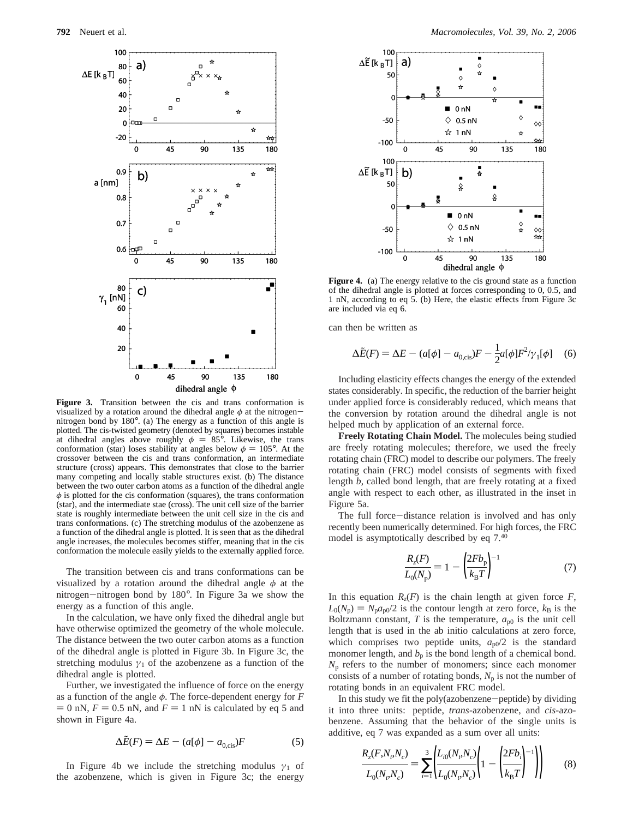

**Figure 3.** Transition between the cis and trans conformation is visualized by a rotation around the dihedral angle *<sup>φ</sup>* at the nitrogennitrogen bond by 180°. (a) The energy as a function of this angle is plotted. The cis-twisted geometry (denoted by squares) becomes instable at dihedral angles above roughly  $\phi = 85^{\circ}$ . Likewise, the trans conformation (star) loses stability at angles below  $\phi = 105^{\circ}$ . At the crossover between the cis and trans conformation, an intermediate structure (cross) appears. This demonstrates that close to the barrier many competing and locally stable structures exist. (b) The distance between the two outer carbon atoms as a function of the dihedral angle  $\phi$  is plotted for the cis conformation (squares), the trans conformation (star), and the intermediate stae (cross). The unit cell size of the barrier state is roughly intermediate between the unit cell size in the cis and trans conformations. (c) The stretching modulus of the azobenzene as a function of the dihedral angle is plotted. It is seen that as the dihedral angle increases, the molecules becomes stiffer, meaning that in the cis conformation the molecule easily yields to the externally applied force.

The transition between cis and trans conformations can be visualized by a rotation around the dihedral angle *φ* at the nitrogen-nitrogen bond by 180°. In Figure 3a we show the energy as a function of this angle.

In the calculation, we have only fixed the dihedral angle but have otherwise optimized the geometry of the whole molecule. The distance between the two outer carbon atoms as a function of the dihedral angle is plotted in Figure 3b. In Figure 3c, the stretching modulus  $\gamma_1$  of the azobenzene as a function of the dihedral angle is plotted.

Further, we investigated the influence of force on the energy as a function of the angle *φ*. The force-dependent energy for *F*  $= 0$  nN,  $F = 0.5$  nN, and  $F = 1$  nN is calculated by eq 5 and shown in Figure 4a.

$$
\Delta \tilde{E}(F) = \Delta E - (a[\phi] - a_{0,\text{cis}})F
$$
 (5)

In Figure 4b we include the stretching modulus  $\gamma_1$  of the azobenzene, which is given in Figure 3c; the energy



**Figure 4.** (a) The energy relative to the cis ground state as a function of the dihedral angle is plotted at forces corresponding to 0, 0.5, and 1 nN, according to eq 5. (b) Here, the elastic effects from Figure 3c are included via eq 6.

can then be written as

$$
\Delta \tilde{E}(F) = \Delta E - (a[\phi] - a_{0,\text{cis}})F - \frac{1}{2}a[\phi]F^2/\gamma_1[\phi] \quad (6)
$$

Including elasticity effects changes the energy of the extended states considerably. In specific, the reduction of the barrier height under applied force is considerably reduced, which means that the conversion by rotation around the dihedral angle is not helped much by application of an external force.

**Freely Rotating Chain Model.** The molecules being studied are freely rotating molecules; therefore, we used the freely rotating chain (FRC) model to describe our polymers. The freely rotating chain (FRC) model consists of segments with fixed length *b*, called bond length, that are freely rotating at a fixed angle with respect to each other, as illustrated in the inset in Figure 5a.

The full force-distance relation is involved and has only recently been numerically determined. For high forces, the FRC model is asymptotically described by eq 7.40

$$
\frac{R_z(F)}{L_0(N_p)} = 1 - \left(\frac{2Fb_p}{k_B T}\right)^{-1}
$$
 (7)

In this equation  $R_z(F)$  is the chain length at given force  $F$ ,  $L_0(N_p) = N_p a_{p0}$ /2 is the contour length at zero force,  $k_B$  is the Boltzmann constant,  $T$  is the temperature,  $a_{p0}$  is the unit cell length that is used in the ab initio calculations at zero force, which comprises two peptide units,  $a_{\rm p0}/2$  is the standard monomer length, and  $b<sub>p</sub>$  is the bond length of a chemical bond.  $N_p$  refers to the number of monomers; since each monomer consists of a number of rotating bonds,  $N_p$  is not the number of rotating bonds in an equivalent FRC model.

In this study we fit the poly(azobenzene-peptide) by dividing it into three units: peptide, *trans*-azobenzene, and *cis*-azobenzene. Assuming that the behavior of the single units is additive, eq 7 was expanded as a sum over all units:

$$
\frac{R_z(F, N_r, N_c)}{L_0(N_r, N_c)} = \sum_{i=1}^3 \left( \frac{L_{i0}(N_r, N_c)}{L_0(N_r, N_c)} \left( 1 - \left( \frac{2Fb_i}{k_B T} \right)^{-1} \right) \right)
$$
(8)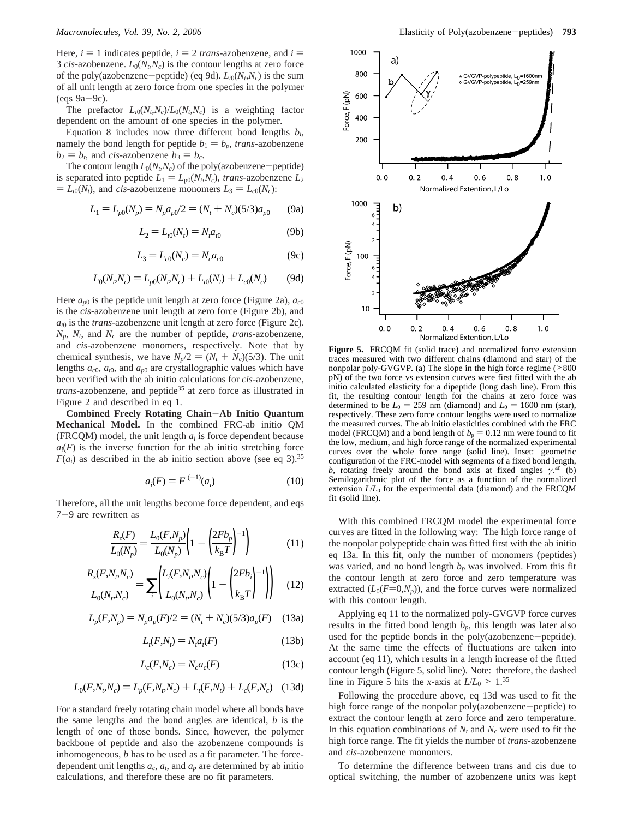Here,  $i = 1$  indicates peptide,  $i = 2$  *trans*-azobenzene, and  $i =$ 3 *cis*-azobenzene.  $L_0(N_t,N_c)$  is the contour lengths at zero force of the poly(azobenzene-peptide) (eq 9d).  $L_{i0}(N_t,N_c)$  is the sum of all unit length at zero force from one species in the polymer  $(eqs 9a-9c)$ .

The prefactor  $L_{i0}(N_t,N_c)/L_0(N_t,N_c)$  is a weighting factor dependent on the amount of one species in the polymer.

Equation 8 includes now three different bond lengths *bi*, namely the bond length for peptide  $b_1 = b_p$ , *trans*-azobenzene  $b_2 = b_t$ , and *cis*-azobenzene  $b_3 = b_c$ .

The contour length  $L_0(N_t,N_c)$  of the poly(azobenzene-peptide) is separated into peptide  $L_1 = L_{p0}(N_t, N_c)$ , *trans*-azobenzene  $L_2$  $= L_{t0}(N_t)$ , and *cis*-azobenzene monomers  $L_3 = L_{c0}(N_c)$ :

$$
L_1 = L_{p0}(N_p) = N_p a_{p0}/2 = (N_t + N_c)(5/3)a_{p0}
$$
 (9a)

$$
L_2 = L_{t0}(N_t) = N_t a_{t0}
$$
 (9b)

$$
L_3 = L_{c0}(N_c) = N_c a_{c0}
$$
 (9c)

$$
L_0(N_t, N_c) = L_{p0}(N_t, N_c) + L_{t0}(N_t) + L_{c0}(N_c)
$$
 (9d)

Here  $a_{p0}$  is the peptide unit length at zero force (Figure 2a),  $a_{c0}$ is the *cis*-azobenzene unit length at zero force (Figure 2b), and *at*<sup>0</sup> is the *trans*-azobenzene unit length at zero force (Figure 2c).  $N_p$ ,  $N_t$ , and  $N_c$  are the number of peptide, *trans*-azobenzene, and *cis*-azobenzene monomers, respectively. Note that by chemical synthesis, we have  $N_p/2 = (N_t + N_c)(5/3)$ . The unit lengths *ac*0, *at*0, and *ap*<sup>0</sup> are crystallographic values which have been verified with the ab initio calculations for *cis*-azobenzene, *trans*-azobenzene, and peptide<sup>35</sup> at zero force as illustrated in Figure 2 and described in eq 1.

**Combined Freely Rotating Chain**-**Ab Initio Quantum Mechanical Model.** In the combined FRC-ab initio QM (FRCQM) model, the unit length  $a_i$  is force dependent because  $a_i(F)$  is the inverse function for the ab initio stretching force  $F(a_i)$  as described in the ab initio section above (see eq 3).<sup>35</sup>

$$
a_i(F) = F^{(-1)}(a_i)
$$
 (10)

Therefore, all the unit lengths become force dependent, and eqs <sup>7</sup>-9 are rewritten as

$$
\frac{R_z(F)}{L_0(N_p)} = \frac{L_0(F, N_p)}{L_0(N_p)} \left( 1 - \left( \frac{2Fb_p}{k_B T} \right)^{-1} \right)
$$
(11)

$$
\frac{R_z(F, N_r, N_c)}{L_0(N_r, N_c)} = \sum_{i} \left( \frac{L_i(F, N_r, N_c)}{L_0(N_r, N_c)} \left( 1 - \left( \frac{2Fb_i}{k_B T} \right)^{-1} \right) \right) \tag{12}
$$

$$
L_p(F, N_p) = N_p a_p(F)/2 = (N_t + N_c)(5/3)a_p(F)
$$
 (13a)

$$
L_t(F, N_t) = N_t a_t(F)
$$
\n(13b)

$$
L_c(F, N_c) = N_c a_c(F) \tag{13c}
$$

$$
L_0(F, N_t, N_c) = L_p(F, N_t, N_c) + L_t(F, N_t) + L_c(F, N_c) \quad (13d)
$$

For a standard freely rotating chain model where all bonds have the same lengths and the bond angles are identical, *b* is the length of one of those bonds. Since, however, the polymer backbone of peptide and also the azobenzene compounds is inhomogeneous, *b* has to be used as a fit parameter. The forcedependent unit lengths  $a_c$ ,  $a_t$ , and  $a_p$  are determined by ab initio calculations, and therefore these are no fit parameters.



**Figure 5.** FRCOM fit (solid trace) and normalized force extension traces measured with two different chains (diamond and star) of the nonpolar poly-GVGVP. (a) The slope in the high force regime (><sup>800</sup> pN) of the two force vs extension curves were first fitted with the ab initio calculated elasticity for a dipeptide (long dash line). From this fit, the resulting contour length for the chains at zero force was determined to be  $L_0 = 259$  nm (diamond) and  $L_0 = 1600$  nm (star), respectively. These zero force contour lengths were used to normalize the measured curves. The ab initio elasticities combined with the FRC model (FRCQM) and a bond length of  $b_p = 0.12$  nm were found to fit the low, medium, and high force range of the normalized experimental curves over the whole force range (solid line). Inset: geometric configuration of the FRC-model with segments of a fixed bond length, *b*, rotating freely around the bond axis at fixed angles  $\gamma$ .<sup>40</sup> (b) Semilogarithmic plot of the force as a function of the normalized extension  $L/L_0$  for the experimental data (diamond) and the  $FRCQM$ fit (solid line).

With this combined FRCQM model the experimental force curves are fitted in the following way: The high force range of the nonpolar polypeptide chain was fitted first with the ab initio eq 13a. In this fit, only the number of monomers (peptides) was varied, and no bond length  $b_p$  was involved. From this fit the contour length at zero force and zero temperature was extracted  $(L_0(F=0,N_p))$ , and the force curves were normalized with this contour length.

Applying eq 11 to the normalized poly-GVGVP force curves results in the fitted bond length  $b_p$ , this length was later also used for the peptide bonds in the poly(azobenzene-peptide). At the same time the effects of fluctuations are taken into account (eq 11), which results in a length increase of the fitted contour length (Figure 5, solid line). Note: therefore, the dashed line in Figure 5 hits the *x*-axis at  $L/L_0 > 1.35$ 

Following the procedure above, eq 13d was used to fit the high force range of the nonpolar poly(azobenzene-peptide) to extract the contour length at zero force and zero temperature. In this equation combinations of  $N_t$  and  $N_c$  were used to fit the high force range. The fit yields the number of *trans*-azobenzene and *cis*-azobenzene monomers.

To determine the difference between trans and cis due to optical switching, the number of azobenzene units was kept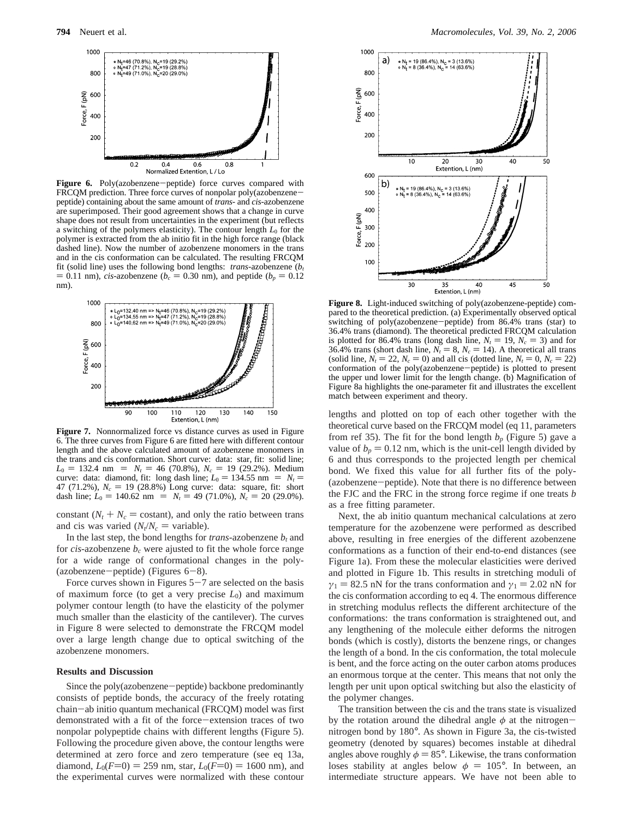

Figure 6. Poly(azobenzene-peptide) force curves compared with FRCQM prediction. Three force curves of nonpolar poly(azobenzenepeptide) containing about the same amount of *trans*- and *cis*-azobenzene are superimposed. Their good agreement shows that a change in curve shape does not result from uncertainties in the experiment (but reflects a switching of the polymers elasticity). The contour length  $L_0$  for the polymer is extracted from the ab initio fit in the high force range (black dashed line). Now the number of azobenzene monomers in the trans and in the cis conformation can be calculated. The resulting FRCQM fit (solid line) uses the following bond lengths: *trans*-azobenzene (*bt*  $= 0.11$  nm), *cis*-azobenzene ( $b_c = 0.30$  nm), and peptide ( $b_p = 0.12$ ) nm).



**Figure 7.** Nonnormalized force vs distance curves as used in Figure 6. The three curves from Figure 6 are fitted here with different contour length and the above calculated amount of azobenzene monomers in the trans and cis conformation. Short curve: data: star, fit: solid line;  $L_0 = 132.4$  nm  $\langle = \rangle$   $N_t = 46$  (70.8%),  $N_c = 19$  (29.2%). Medium curve: data: diamond, fit: long dash line;  $L_0 = 134.55$  nm  $\langle = \rangle N_t =$ 47 (71.2%),  $N_c = 19$  (28.8%) Long curve: data: square, fit: short dash line;  $L_0 = 140.62$  nm  $\langle = \rangle N_t = 49 (71.0\%)$ ,  $N_c = 20 (29.0\%)$ .

constant  $(N_t + N_c)$  costant), and only the ratio between trans and cis was varied  $(N_t/N_c = \text{variable})$ .

In the last step, the bond lengths for *trans*-azobenzene  $b_t$  and for *cis*-azobenzene  $b_c$  were ajusted to fit the whole force range for a wide range of conformational changes in the poly- (azobenzene-peptide) (Figures  $6-8$ ).

Force curves shown in Figures  $5-7$  are selected on the basis of maximum force (to get a very precise  $L_0$ ) and maximum polymer contour length (to have the elasticity of the polymer much smaller than the elasticity of the cantilever). The curves in Figure 8 were selected to demonstrate the FRCQM model over a large length change due to optical switching of the azobenzene monomers.

## **Results and Discussion**

Since the poly(azobenzene-peptide) backbone predominantly consists of peptide bonds, the accuracy of the freely rotating chain-ab initio quantum mechanical (FRCQM) model was first demonstrated with a fit of the force-extension traces of two nonpolar polypeptide chains with different lengths (Figure 5). Following the procedure given above, the contour lengths were determined at zero force and zero temperature (see eq 13a, diamond,  $L_0(F=0) = 259$  nm, star,  $L_0(F=0) = 1600$  nm), and the experimental curves were normalized with these contour



**Figure 8.** Light-induced switching of poly(azobenzene-peptide) compared to the theoretical prediction. (a) Experimentally observed optical switching of poly(azobenzene-peptide) from 86.4% trans (star) to 36.4% trans (diamond). The theoretical predicted FRCQM calculation is plotted for 86.4% trans (long dash line,  $N_t = 19$ ,  $N_c = 3$ ) and for 36.4% trans (short dash line,  $N_t = 8$ ,  $N_c = 14$ ). A theoretical all trans (solid line,  $N_t = 22$ ,  $N_c = 0$ ) and all cis (dotted line,  $N_t = 0$ ,  $N_c = 22$ ) conformation of the poly(azobenzene-peptide) is plotted to present the upper und lower limit for the length change. (b) Magnification of Figure 8a highlights the one-parameter fit and illustrates the excellent match between experiment and theory.

lengths and plotted on top of each other together with the theoretical curve based on the FRCQM model (eq 11, parameters from ref 35). The fit for the bond length  $b_p$  (Figure 5) gave a value of  $b_p = 0.12$  nm, which is the unit-cell length divided by 6 and thus corresponds to the projected length per chemical bond. We fixed this value for all further fits of the poly- (azobenzene-peptide). Note that there is no difference between the FJC and the FRC in the strong force regime if one treats *b* as a free fitting parameter.

Next, the ab initio quantum mechanical calculations at zero temperature for the azobenzene were performed as described above, resulting in free energies of the different azobenzene conformations as a function of their end-to-end distances (see Figure 1a). From these the molecular elasticities were derived and plotted in Figure 1b. This results in stretching moduli of  $\gamma_1 = 82.5$  nN for the trans conformation and  $\gamma_1 = 2.02$  nN for the cis conformation according to eq 4. The enormous difference in stretching modulus reflects the different architecture of the conformations: the trans conformation is straightened out, and any lengthening of the molecule either deforms the nitrogen bonds (which is costly), distorts the benzene rings, or changes the length of a bond. In the cis conformation, the total molecule is bent, and the force acting on the outer carbon atoms produces an enormous torque at the center. This means that not only the length per unit upon optical switching but also the elasticity of the polymer changes.

The transition between the cis and the trans state is visualized by the rotation around the dihedral angle *<sup>φ</sup>* at the nitrogennitrogen bond by 180°. As shown in Figure 3a, the cis-twisted geometry (denoted by squares) becomes instable at dihedral angles above roughly  $\phi = 85^\circ$ . Likewise, the trans conformation loses stability at angles below  $\phi = 105^{\circ}$ . In between, an intermediate structure appears. We have not been able to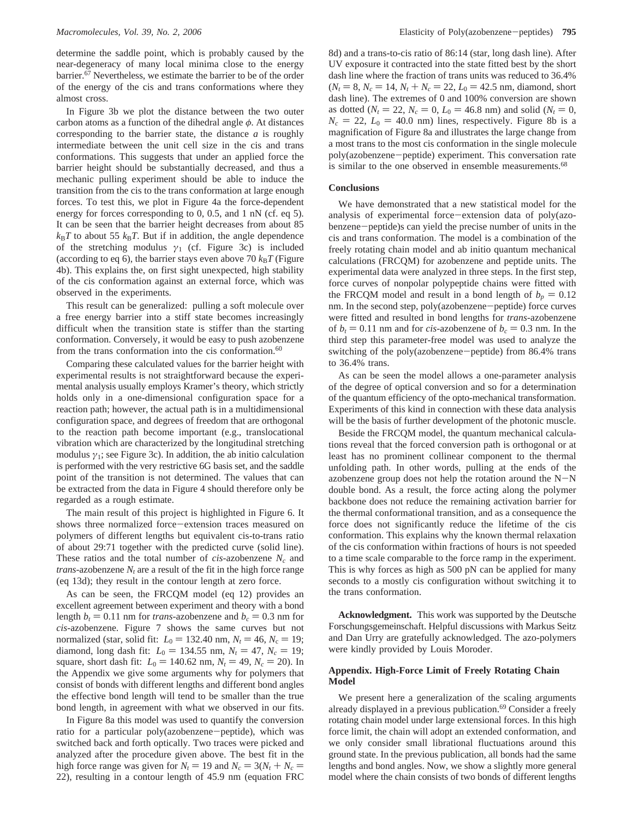determine the saddle point, which is probably caused by the near-degeneracy of many local minima close to the energy barrier.67 Nevertheless, we estimate the barrier to be of the order of the energy of the cis and trans conformations where they almost cross.

In Figure 3b we plot the distance between the two outer carbon atoms as a function of the dihedral angle *φ*. At distances corresponding to the barrier state, the distance *a* is roughly intermediate between the unit cell size in the cis and trans conformations. This suggests that under an applied force the barrier height should be substantially decreased, and thus a mechanic pulling experiment should be able to induce the transition from the cis to the trans conformation at large enough forces. To test this, we plot in Figure 4a the force-dependent energy for forces corresponding to 0, 0.5, and 1 nN (cf. eq 5). It can be seen that the barrier height decreases from about 85  $k_B T$  to about 55  $k_B T$ . But if in addition, the angle dependence of the stretching modulus  $\gamma_1$  (cf. Figure 3c) is included (according to eq 6), the barrier stays even above 70  $k_B T$  (Figure 4b). This explains the, on first sight unexpected, high stability of the cis conformation against an external force, which was observed in the experiments.

This result can be generalized: pulling a soft molecule over a free energy barrier into a stiff state becomes increasingly difficult when the transition state is stiffer than the starting conformation. Conversely, it would be easy to push azobenzene from the trans conformation into the cis conformation.<sup>60</sup>

Comparing these calculated values for the barrier height with experimental results is not straightforward because the experimental analysis usually employs Kramer's theory, which strictly holds only in a one-dimensional configuration space for a reaction path; however, the actual path is in a multidimensional configuration space, and degrees of freedom that are orthogonal to the reaction path become important (e.g., translocational vibration which are characterized by the longitudinal stretching modulus  $\gamma_1$ ; see Figure 3c). In addition, the ab initio calculation is performed with the very restrictive 6G basis set, and the saddle point of the transition is not determined. The values that can be extracted from the data in Figure 4 should therefore only be regarded as a rough estimate.

The main result of this project is highlighted in Figure 6. It shows three normalized force-extension traces measured on polymers of different lengths but equivalent cis-to-trans ratio of about 29:71 together with the predicted curve (solid line). These ratios and the total number of *cis*-azobenzene *Nc* and *trans*-azobenzene  $N_t$  are a result of the fit in the high force range (eq 13d); they result in the contour length at zero force.

As can be seen, the FRCQM model (eq 12) provides an excellent agreement between experiment and theory with a bond length  $b_t = 0.11$  nm for *trans*-azobenzene and  $b_c = 0.3$  nm for *cis*-azobenzene. Figure 7 shows the same curves but not normalized (star, solid fit:  $L_0 = 132.40$  nm,  $N_t = 46$ ,  $N_c = 19$ ; diamond, long dash fit:  $L_0 = 134.55$  nm,  $N_t = 47$ ,  $N_c = 19$ ; square, short dash fit:  $L_0 = 140.62$  nm,  $N_t = 49$ ,  $N_c = 20$ ). In the Appendix we give some arguments why for polymers that consist of bonds with different lengths and different bond angles the effective bond length will tend to be smaller than the true bond length, in agreement with what we observed in our fits.

In Figure 8a this model was used to quantify the conversion ratio for a particular poly(azobenzene-peptide), which was switched back and forth optically. Two traces were picked and analyzed after the procedure given above. The best fit in the high force range was given for  $N_t = 19$  and  $N_c = 3(N_t + N_c)$ 22), resulting in a contour length of 45.9 nm (equation FRC

8d) and a trans-to-cis ratio of 86:14 (star, long dash line). After UV exposure it contracted into the state fitted best by the short dash line where the fraction of trans units was reduced to 36.4%  $(N_t = 8, N_c = 14, N_t + N_c = 22, L_0 = 42.5$  nm, diamond, short dash line). The extremes of 0 and 100% conversion are shown as dotted ( $N_t = 22$ ,  $N_c = 0$ ,  $L_0 = 46.8$  nm) and solid ( $N_t = 0$ ,  $N_c = 22$ ,  $L_0 = 40.0$  nm) lines, respectively. Figure 8b is a magnification of Figure 8a and illustrates the large change from a most trans to the most cis conformation in the single molecule poly(azobenzene-peptide) experiment. This conversation rate is similar to the one observed in ensemble measurements.<sup>68</sup>

# **Conclusions**

We have demonstrated that a new statistical model for the analysis of experimental force-extension data of poly(azobenzene-peptide)s can yield the precise number of units in the cis and trans conformation. The model is a combination of the freely rotating chain model and ab initio quantum mechanical calculations (FRCQM) for azobenzene and peptide units. The experimental data were analyzed in three steps. In the first step, force curves of nonpolar polypeptide chains were fitted with the FRCQM model and result in a bond length of  $b_p = 0.12$ nm. In the second step, poly(azobenzene-peptide) force curves were fitted and resulted in bond lengths for *trans*-azobenzene of  $b_t = 0.11$  nm and for *cis*-azobenzene of  $b_c = 0.3$  nm. In the third step this parameter-free model was used to analyze the switching of the poly(azobenzene-peptide) from 86.4% trans to 36.4% trans.

As can be seen the model allows a one-parameter analysis of the degree of optical conversion and so for a determination of the quantum efficiency of the opto-mechanical transformation. Experiments of this kind in connection with these data analysis will be the basis of further development of the photonic muscle.

Beside the FRCQM model, the quantum mechanical calculations reveal that the forced conversion path is orthogonal or at least has no prominent collinear component to the thermal unfolding path. In other words, pulling at the ends of the azobenzene group does not help the rotation around the  $N-N$ double bond. As a result, the force acting along the polymer backbone does not reduce the remaining activation barrier for the thermal conformational transition, and as a consequence the force does not significantly reduce the lifetime of the cis conformation. This explains why the known thermal relaxation of the cis conformation within fractions of hours is not speeded to a time scale comparable to the force ramp in the experiment. This is why forces as high as 500 pN can be applied for many seconds to a mostly cis configuration without switching it to the trans conformation.

**Acknowledgment.** This work was supported by the Deutsche Forschungsgemeinschaft. Helpful discussions with Markus Seitz and Dan Urry are gratefully acknowledged. The azo-polymers were kindly provided by Louis Moroder.

# **Appendix. High-Force Limit of Freely Rotating Chain Model**

We present here a generalization of the scaling arguments already displayed in a previous publication.<sup>69</sup> Consider a freely rotating chain model under large extensional forces. In this high force limit, the chain will adopt an extended conformation, and we only consider small librational fluctuations around this ground state. In the previous publication, all bonds had the same lengths and bond angles. Now, we show a slightly more general model where the chain consists of two bonds of different lengths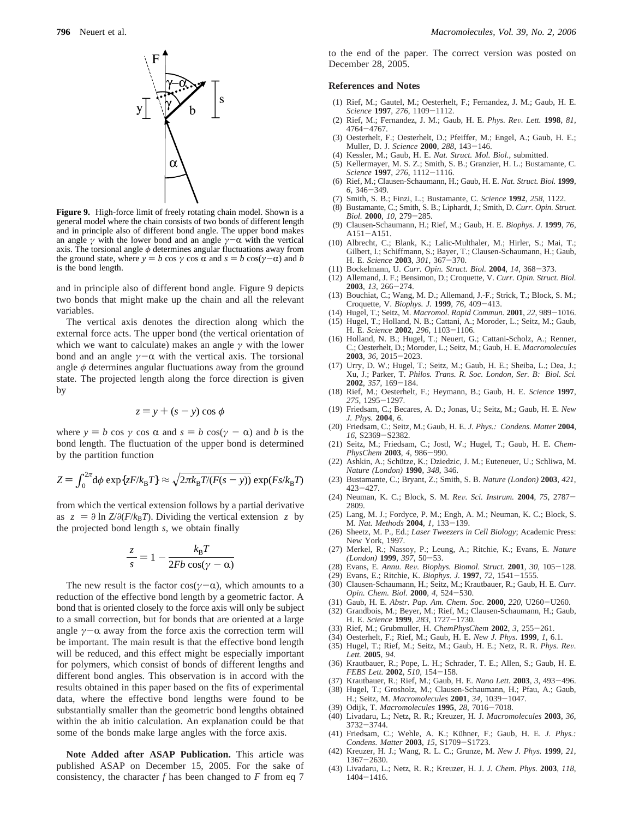

**Figure 9.** High-force limit of freely rotating chain model. Shown is a general model where the chain consists of two bonds of different length and in principle also of different bond angle. The upper bond makes an angle  $\gamma$  with the lower bond and an angle  $\gamma - \alpha$  with the vertical axis. The torsional angle  $\phi$  determines angular fluctuations away from the ground state, where  $y = b \cos \gamma \cos \alpha$  and  $s = b \cos(\gamma - \alpha)$  and *b* is the bond length.

and in principle also of different bond angle. Figure 9 depicts two bonds that might make up the chain and all the relevant variables.

The vertical axis denotes the direction along which the external force acts. The upper bond (the vertical orientation of which we want to calculate) makes an angle *γ* with the lower bond and an angle  $\gamma$ -α with the vertical axis. The torsional angle *φ* determines angular fluctuations away from the ground state. The projected length along the force direction is given by

$$
z = y + (s - y) \cos \phi
$$

where  $y = b \cos \gamma \cos \alpha$  and  $s = b \cos(\gamma - \alpha)$  and *b* is the bond length. The fluctuation of the upper bond is determined by the partition function

$$
Z = \int_0^{2\pi} d\phi \exp\{zF/k_B T\} \approx \sqrt{2\pi k_B T/(F(s-y))} \exp(Fs/k_B T)
$$

from which the vertical extension follows by a partial derivative as  $\langle z \rangle = \partial \ln Z / \partial (F / k_B T)$ . Dividing the vertical extension  $\langle z \rangle$  by the projected bond length *s*, we obtain finally

$$
\frac{\langle z \rangle}{s} = 1 - \frac{k_{\rm B}T}{2Fb\cos(\gamma - \alpha)}
$$

The new result is the factor cos( $\gamma$ - $\alpha$ ), which amounts to a reduction of the effective bond length by a geometric factor. A bond that is oriented closely to the force axis will only be subject to a small correction, but for bonds that are oriented at a large angle  $\gamma$ - $\alpha$  away from the force axis the correction term will be important. The main result is that the effective bond length will be reduced, and this effect might be especially important for polymers, which consist of bonds of different lengths and different bond angles. This observation is in accord with the results obtained in this paper based on the fits of experimental data, where the effective bond lengths were found to be substantially smaller than the geometric bond lengths obtained within the ab initio calculation. An explanation could be that some of the bonds make large angles with the force axis.

**Note Added after ASAP Publication.** This article was published ASAP on December 15, 2005. For the sake of consistency, the character *f* has been changed to *F* from eq 7 to the end of the paper. The correct version was posted on December 28, 2005.

### **References and Notes**

- (1) Rief, M.; Gautel, M.; Oesterhelt, F.; Fernandez, J. M.; Gaub, H. E. *Science* **<sup>1997</sup>**, *<sup>276</sup>*, 1109-1112.
- (2) Rief, M.; Fernandez, J. M.; Gaub, H. E. *Phys. Re*V*. Lett.* **<sup>1998</sup>**, *<sup>81</sup>*, <sup>4764</sup>-4767. (3) Oesterhelt, F.; Oesterhelt, D.; Pfeiffer, M.; Engel, A.; Gaub, H. E.;
- Muller, D. J. *Science* **<sup>2000</sup>**, *<sup>288</sup>*, 143-146.
- (4) Kessler, M.; Gaub, H. E. *Nat. Struct. Mol. Biol.*, submitted.
- (5) Kellermayer, M. S. Z.; Smith, S. B.; Granzier, H. L.; Bustamante, C. *Science* **<sup>1997</sup>**, *<sup>276</sup>*, 1112-1116.
- (6) Rief, M.; Clausen-Schaumann, H.; Gaub, H. E. *Nat. Struct. Biol.* **1999**, *<sup>6</sup>*, 346-349.
- (7) Smith, S. B.; Finzi, L.; Bustamante, C. *Science* **1992**, *258*, 1122.
- (8) Bustamante, C.; Smith, S. B.; Liphardt, J.; Smith, D. *Curr. Opin. Struct. Biol.* **<sup>2000</sup>**, *<sup>10</sup>*, 279-285. (9) Clausen-Schaumann, H.; Rief, M.; Gaub, H. E. *Biophys. J.* **1999**, *76*,
- A151-A151. (10) Albrecht, C.; Blank, K.; Lalic-Multhaler, M.; Hirler, S.; Mai, T.;
- Gilbert, I.; Schiffmann, S.; Bayer, T.; Clausen-Schaumann, H.; Gaub, H. E. *Science* **<sup>2003</sup>**, *<sup>301</sup>*, 367-370.
- (11) Bockelmann, U. *Curr. Opin. Struct. Biol.* **<sup>2004</sup>**, *<sup>14</sup>*, 368-373.
- (12) Allemand, J. F.; Bensimon, D.; Croquette, V. *Curr. Opin. Struct. Biol.*
- **<sup>2003</sup>**, *<sup>13</sup>*, 266-274. (13) Bouchiat, C.; Wang, M. D.; Allemand, J.-F.; Strick, T.; Block, S. M.; Croquette, V. *Biophys. J.* **<sup>1999</sup>**, *<sup>76</sup>*, 409-413.
- (14) Hugel, T.; Seitz, M. *Macromol. Rapid Commun.* **<sup>2001</sup>**, *<sup>22</sup>*, 989-1016.
- (15) Hugel, T.; Holland, N. B.; Cattani, A.; Moroder, L.; Seitz, M.; Gaub, H. E. *Science* **<sup>2002</sup>**, *<sup>296</sup>*, 1103-1106.
- (16) Holland, N. B.; Hugel, T.; Neuert, G.; Cattani-Scholz, A.; Renner, C.; Oesterhelt, D.; Moroder, L.; Seitz, M.; Gaub, H. E. *Macromolecules* **<sup>2003</sup>**, *<sup>36</sup>*, 2015-2023.
- (17) Urry, D. W.; Hugel, T.; Seitz, M.; Gaub, H. E.; Sheiba, L.; Dea, J.; Xu, J.; Parker, T. *Philos. Trans. R. Soc. London, Ser. B: Biol. Sci.*
- **<sup>2002</sup>**, *<sup>357</sup>*, 169-184. (18) Rief, M.; Oesterhelt, F.; Heymann, B.; Gaub, H. E. *Science* **1997**, *<sup>275</sup>*, 1295-1297. (19) Friedsam, C.; Becares, A. D.; Jonas, U.; Seitz, M.; Gaub, H. E. *New*
- *J. Phys.* **2004**, *6.*
- (20) Friedsam, C.; Seitz, M.; Gaub, H. E. *J. Phys.: Condens. Matter* **2004**, *<sup>16</sup>*, S2369-S2382.
- (21) Seitz, M.; Friedsam, C.; Jostl, W.; Hugel, T.; Gaub, H. E. *Chem-PhysChem* **<sup>2003</sup>**, *<sup>4</sup>*, 986-990.
- (22) Ashkin, A.; Schütze, K.; Dziedzic, J. M.; Euteneuer, U.; Schliwa, M. *Nature (London)* **1990**, *348*, 346.
- (23) Bustamante, C.; Bryant, Z.; Smith, S. B. *Nature (London)* **2003**, *421*, <sup>423</sup>-427.
- (24) Neuman, K. C.; Block, S. M. *Re*V*. Sci. Instrum.* **<sup>2004</sup>**, *<sup>75</sup>*, 2787- 2809.
- (25) Lang, M. J.; Fordyce, P. M.; Engh, A. M.; Neuman, K. C.; Block, S. M. *Nat. Methods* **<sup>2004</sup>**, *<sup>1</sup>*, 133-139.
- (26) Sheetz, M. P., Ed.; *Laser Tweezers in Cell Biology*; Academic Press: New York, 1997.
- (27) Merkel, R.; Nassoy, P.; Leung, A.; Ritchie, K.; Evans, E. *Nature (London)* **<sup>1999</sup>**, *<sup>397</sup>*, 50-53.
- (28) Evans, E. *Annu. Re*V*. Biophys. Biomol. Struct.* **<sup>2001</sup>**, *<sup>30</sup>*, 105-128.
- (29) Evans, E.; Ritchie, K. *Biophys. J.* **<sup>1997</sup>**, *<sup>72</sup>*, 1541-1555.
- (30) Clausen-Schaumann, H.; Seitz, M.; Krautbauer, R.; Gaub, H. E. *Curr. Opin. Chem. Biol.* **<sup>2000</sup>**, *<sup>4</sup>*, 524-530.
- (31) Gaub, H. E. *Abstr. Pap. Am. Chem. Soc.* **<sup>2000</sup>**, *<sup>220</sup>*, U260-U260.
- (32) Grandbois, M.; Beyer, M.; Rief, M.; Clausen-Schaumann, H.; Gaub, H. E. Science 1999, 283, 1727–1730. H. E. *Science* **<sup>1999</sup>**, *<sup>283</sup>*, 1727-1730.
- (33) Rief, M.; Grubmuller, H. *ChemPhysChem* **<sup>2002</sup>**, *<sup>3</sup>*, 255-261.
- (34) Oesterhelt, F.; Rief, M.; Gaub, H. E. *New J. Phys.* **1999**, *1*, 6.1.
- (35) Hugel, T.; Rief, M.; Seitz, M.; Gaub, H. E.; Netz, R. R. *Phys. Re*V*. Lett.* **2005**, *94*.
- (36) Krautbauer, R.; Pope, L. H.; Schrader, T. E.; Allen, S.; Gaub, H. E. *FEBS Lett.* **<sup>2002</sup>**, *<sup>510</sup>*, 154-158.
- (37) Krautbauer, R.; Rief, M.; Gaub, H. E. *Nano Lett.* **<sup>2003</sup>**, *<sup>3</sup>*, 493-496.
- (38) Hugel, T.; Grosholz, M.; Clausen-Schaumann, H.; Pfau, A.; Gaub, H.; Seitz, M. *Macromolecules* **<sup>2001</sup>**, *<sup>34</sup>*, 1039-1047.
- (39) Odijk, T. *Macromolecules* **<sup>1995</sup>**, *<sup>28</sup>*, 7016-7018.
- (40) Livadaru, L.; Netz, R. R.; Kreuzer, H. J. *Macromolecules* **2003**, *36*, 3732-3744.<br>(41) Friedsam, C.; Wehle, A. K.; Kühner, F.; Gaub, H. E. *J. Phys.:*
- *Condens. Matter* **<sup>2003</sup>**, *<sup>15</sup>*, S1709-S1723.
- (42) Kreuzer, H. J.; Wang, R. L. C.; Grunze, M. *New J. Phys.* **1999**, *21*, <sup>1367</sup>-2630.
- (43) Livadaru, L.; Netz, R. R.; Kreuzer, H. J. *J. Chem. Phys.* **2003**, *118*, <sup>1404</sup>-1416.